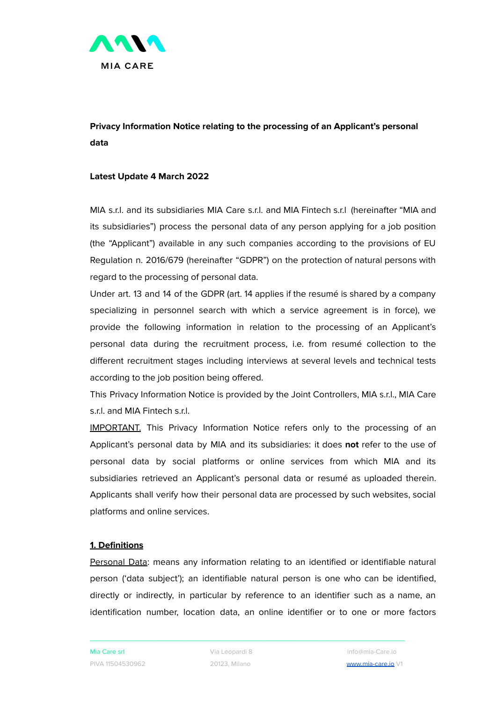

# **Privacy Information Notice relating to the processing of an Applicant's personal data**

## **Latest Update 4 March 2022**

MIA s.r.l. and its subsidiaries MIA Care s.r.l. and MIA Fintech s.r.l (hereinafter "MIA and its subsidiaries") process the personal data of any person applying for a job position (the "Applicant") available in any such companies according to the provisions of EU Regulation n. 2016/679 (hereinafter "GDPR") on the protection of natural persons with regard to the processing of personal data.

Under art. 13 and 14 of the GDPR (art. 14 applies if the resumé is shared by a company specializing in personnel search with which a service agreement is in force), we provide the following information in relation to the processing of an Applicant's personal data during the recruitment process, i.e. from resumé collection to the different recruitment stages including interviews at several levels and technical tests according to the job position being offered.

This Privacy Information Notice is provided by the Joint Controllers, MIA s.r.l., MIA Care s.r.l. and MIA Fintech s.r.l.

IMPORTANT. This Privacy Information Notice refers only to the processing of an Applicant's personal data by MIA and its subsidiaries: it does **not** refer to the use of personal data by social platforms or online services from which MIA and its subsidiaries retrieved an Applicant's personal data or resumé as uploaded therein. Applicants shall verify how their personal data are processed by such websites, social platforms and online services.

## **1. Definitions**

Personal Data: means any information relating to an identified or identifiable natural person ('data subject'); an identifiable natural person is one who can be identified, directly or indirectly, in particular by reference to an identifier such as a name, an identification number, location data, an online identifier or to one or more factors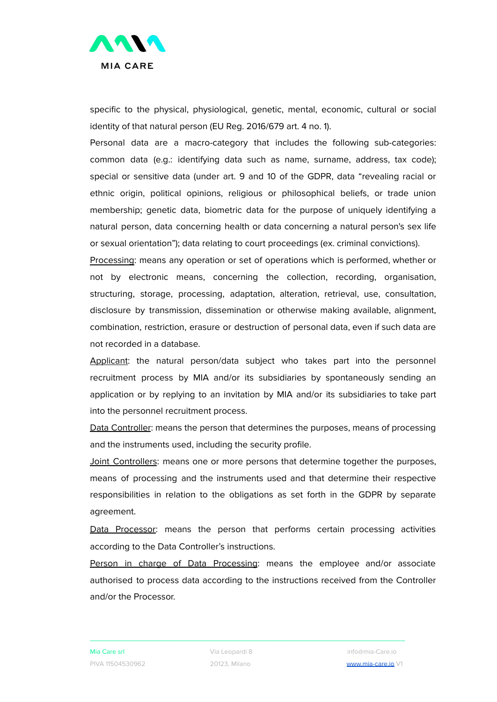

specific to the physical, physiological, genetic, mental, economic, cultural or social identity of that natural person (EU Reg. 2016/679 art. 4 no. 1).

Personal data are a macro-category that includes the following sub-categories: common data (e.g.: identifying data such as name, surname, address, tax code); special or sensitive data (under art. 9 and 10 of the GDPR, data "revealing racial or ethnic origin, political opinions, religious or philosophical beliefs, or trade union membership; genetic data, biometric data for the purpose of uniquely identifying a natural person, data concerning health or data concerning a natural person's sex life or sexual orientation"); data relating to court proceedings (ex. criminal convictions).

Processing: means any operation or set of operations which is performed, whether or not by electronic means, concerning the collection, recording, organisation, structuring, storage, processing, adaptation, alteration, retrieval, use, consultation, disclosure by transmission, dissemination or otherwise making available, alignment, combination, restriction, erasure or destruction of personal data, even if such data are not recorded in a database.

Applicant: the natural person/data subject who takes part into the personnel recruitment process by MIA and/or its subsidiaries by spontaneously sending an application or by replying to an invitation by MIA and/or its subsidiaries to take part into the personnel recruitment process.

Data Controller: means the person that determines the purposes, means of processing and the instruments used, including the security profile.

Joint Controllers: means one or more persons that determine together the purposes, means of processing and the instruments used and that determine their respective responsibilities in relation to the obligations as set forth in the GDPR by separate agreement.

Data Processor: means the person that performs certain processing activities according to the Data Controller's instructions.

Person in charge of Data Processing: means the employee and/or associate authorised to process data according to the instructions received from the Controller and/or the Processor.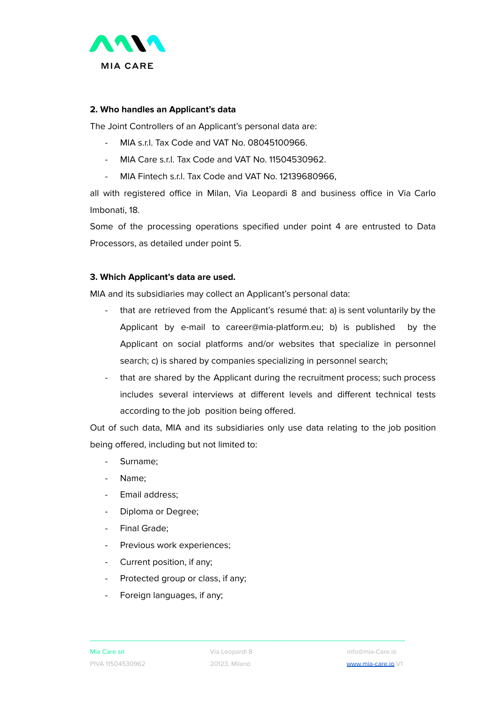

## **2. Who handles an Applicant's data**

The Joint Controllers of an Applicant's personal data are:

- MIA s.r.l. Tax Code and VAT No. 08045100966.
- MIA Care s.r.l. Tax Code and VAT No. 11504530962.
- MIA Fintech s.r.l. Tax Code and VAT No. 12139680966,

all with registered office in Milan, Via Leopardi 8 and business office in Via Carlo Imbonati, 18.

Some of the processing operations specified under point 4 are entrusted to Data Processors, as detailed under point 5.

## **3. Which Applicant's data are used.**

MIA and its subsidiaries may collect an Applicant's personal data:

- that are retrieved from the Applicant's resumé that: a) is sent voluntarily by the Applicant by e-mail to career@mia-platform.eu; b) is published by the Applicant on social platforms and/or websites that specialize in personnel search; c) is shared by companies specializing in personnel search;
- that are shared by the Applicant during the recruitment process; such process includes several interviews at different levels and different technical tests according to the job position being offered.

Out of such data, MIA and its subsidiaries only use data relating to the job position being offered, including but not limited to:

- Surname:
- Name:
- Email address;
- Diploma or Degree;
- Final Grade;
- Previous work experiences;
- Current position, if any;
- Protected group or class, if any;
- Foreign languages, if any;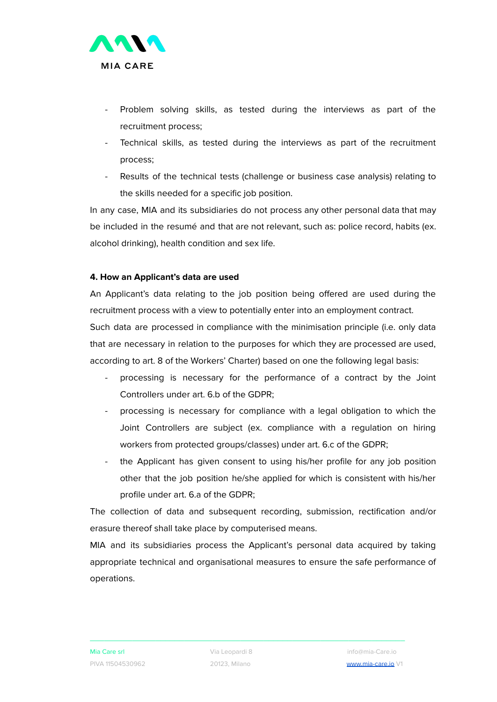

- Problem solving skills, as tested during the interviews as part of the recruitment process;
- Technical skills, as tested during the interviews as part of the recruitment process;
- Results of the technical tests (challenge or business case analysis) relating to the skills needed for a specific job position.

In any case, MIA and its subsidiaries do not process any other personal data that may be included in the resumé and that are not relevant, such as: police record, habits (ex. alcohol drinking), health condition and sex life.

## **4. How an Applicant's data are used**

An Applicant's data relating to the job position being offered are used during the recruitment process with a view to potentially enter into an employment contract.

Such data are processed in compliance with the minimisation principle (i.e. only data that are necessary in relation to the purposes for which they are processed are used, according to art. 8 of the Workers' Charter) based on one the following legal basis:

- processing is necessary for the performance of a contract by the Joint Controllers under art. 6.b of the GDPR;
- processing is necessary for compliance with a legal obligation to which the Joint Controllers are subject (ex. compliance with a regulation on hiring workers from protected groups/classes) under art. 6.c of the GDPR;
- the Applicant has given consent to using his/her profile for any job position other that the job position he/she applied for which is consistent with his/her profile under art. 6.a of the GDPR;

The collection of data and subsequent recording, submission, rectification and/or erasure thereof shall take place by computerised means.

MIA and its subsidiaries process the Applicant's personal data acquired by taking appropriate technical and organisational measures to ensure the safe performance of operations.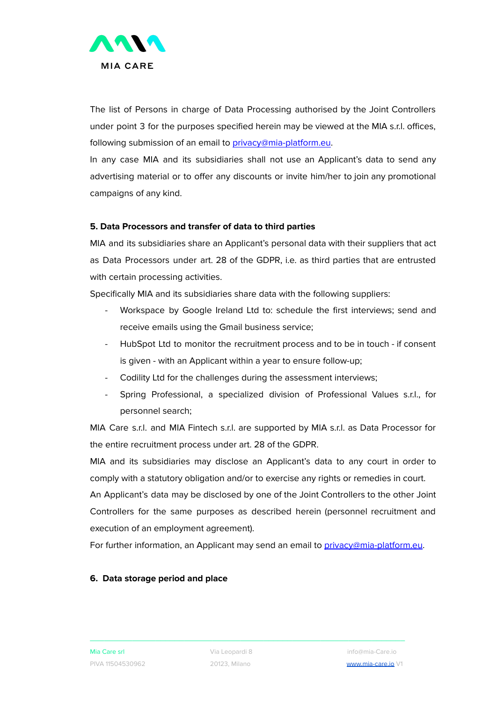

The list of Persons in charge of Data Processing authorised by the Joint Controllers under point 3 for the purposes specified herein may be viewed at the MIA s.r.l. offices, following submission of an email to [privacy@mia-platform.eu.](mailto:privacy@mia-platform.eu)

In any case MIA and its subsidiaries shall not use an Applicant's data to send any advertising material or to offer any discounts or invite him/her to join any promotional campaigns of any kind.

## **5. Data Processors and transfer of data to third parties**

MIA and its subsidiaries share an Applicant's personal data with their suppliers that act as Data Processors under art. 28 of the GDPR, i.e. as third parties that are entrusted with certain processing activities.

Specifically MIA and its subsidiaries share data with the following suppliers:

- Workspace by Google Ireland Ltd to: schedule the first interviews; send and receive emails using the Gmail business service;
- HubSpot Ltd to monitor the recruitment process and to be in touch if consent is given - with an Applicant within a year to ensure follow-up;
- Codility Ltd for the challenges during the assessment interviews;
- Spring Professional, a specialized division of Professional Values s.r.l., for personnel search;

MIA Care s.r.l. and MIA Fintech s.r.l. are supported by MIA s.r.l. as Data Processor for the entire recruitment process under art. 28 of the GDPR.

MIA and its subsidiaries may disclose an Applicant's data to any court in order to comply with a statutory obligation and/or to exercise any rights or remedies in court.

An Applicant's data may be disclosed by one of the Joint Controllers to the other Joint Controllers for the same purposes as described herein (personnel recruitment and execution of an employment agreement).

For further information, an Applicant may send an email to [privacy@mia-platform.eu.](mailto:privacy@mia-platform.eu)

#### **6. Data storage period and place**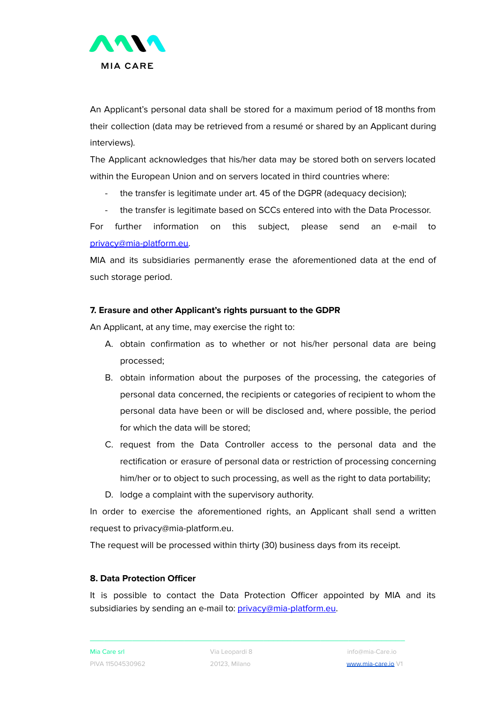

An Applicant's personal data shall be stored for a maximum period of 18 months from their collection (data may be retrieved from a resumé or shared by an Applicant during interviews).

The Applicant acknowledges that his/her data may be stored both on servers located within the European Union and on servers located in third countries where:

- the transfer is legitimate under art. 45 of the DGPR (adequacy decision);
- the transfer is legitimate based on SCCs entered into with the Data Processor.

For further information on this subject, please send an e-mail to [privacy@mia-platform.eu.](mailto:privacy@mia-platform.eu)

MIA and its subsidiaries permanently erase the aforementioned data at the end of such storage period.

## **7. Erasure and other Applicant's rights pursuant to the GDPR**

An Applicant, at any time, may exercise the right to:

- A. obtain confirmation as to whether or not his/her personal data are being processed;
- B. obtain information about the purposes of the processing, the categories of personal data concerned, the recipients or categories of recipient to whom the personal data have been or will be disclosed and, where possible, the period for which the data will be stored;
- C. request from the Data Controller access to the personal data and the rectification or erasure of personal data or restriction of processing concerning him/her or to object to such processing, as well as the right to data portability;
- D. lodge a complaint with the supervisory authority.

In order to exercise the aforementioned rights, an Applicant shall send a written request to privacy@mia-platform.eu.

The request will be processed within thirty (30) business days from its receipt.

#### **8. Data Protection Officer**

It is possible to contact the Data Protection Officer appointed by MIA and its subsidiaries by sending an e-mail to: [privacy@mia-platform.eu.](mailto:privacy@mia-platform.eu)